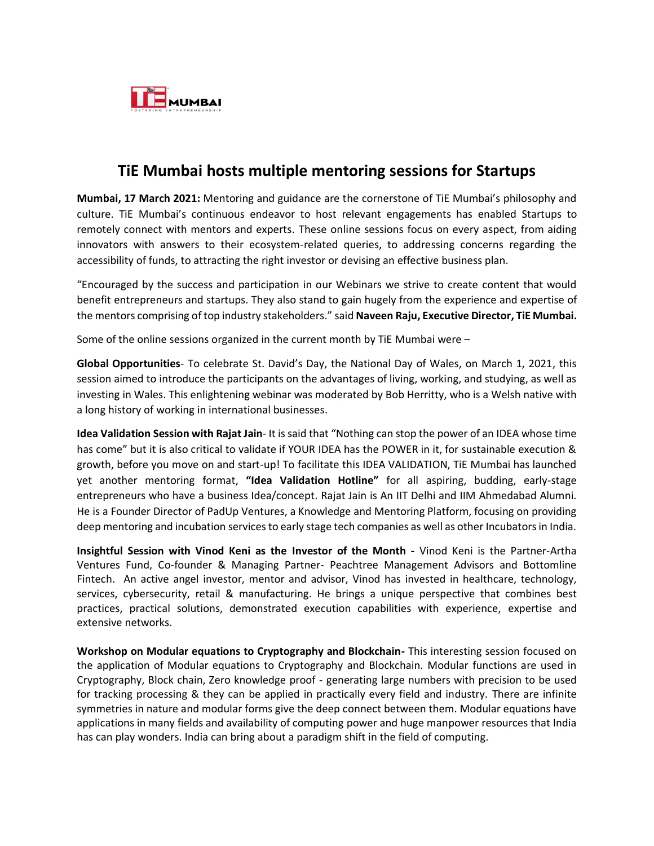

## **TiE Mumbai hosts multiple mentoring sessions for Startups**

**Mumbai, 17 March 2021:** Mentoring and guidance are the cornerstone of TiE Mumbai's philosophy and culture. TiE Mumbai's continuous endeavor to host relevant engagements has enabled Startups to remotely connect with mentors and experts. These online sessions focus on every aspect, from aiding innovators with answers to their ecosystem-related queries, to addressing concerns regarding the accessibility of funds, to attracting the right investor or devising an effective business plan.

"Encouraged by the success and participation in our Webinars we strive to create content that would benefit entrepreneurs and startups. They also stand to gain hugely from the experience and expertise of the mentors comprising of top industry stakeholders." said **Naveen Raju, Executive Director, TiE Mumbai.**

Some of the online sessions organized in the current month by TiE Mumbai were –

**Global Opportunities**- To celebrate St. David's Day, the National Day of Wales, on March 1, 2021, this session aimed to introduce the participants on the advantages of living, working, and studying, as well as investing in Wales. This enlightening webinar was moderated by Bob Herritty, who is a Welsh native with a long history of working in international businesses.

**Idea Validation Session with Rajat Jain**- It is said that "Nothing can stop the power of an IDEA whose time has come" but it is also critical to validate if YOUR IDEA has the POWER in it, for sustainable execution & growth, before you move on and start-up! To facilitate this IDEA VALIDATION, TiE Mumbai has launched yet another mentoring format, **"Idea Validation Hotline"** for all aspiring, budding, early-stage entrepreneurs who have a business Idea/concept. Rajat Jain is An IIT Delhi and IIM Ahmedabad Alumni. He is a Founder Director of PadUp Ventures, a Knowledge and Mentoring Platform, focusing on providing deep mentoring and incubation services to early stage tech companies as well as other Incubators in India.

**Insightful Session with Vinod Keni as the Investor of the Month -** Vinod Keni is the Partner-Artha Ventures Fund, Co-founder & Managing Partner- Peachtree Management Advisors and Bottomline Fintech. An active angel investor, mentor and advisor, Vinod has invested in healthcare, technology, services, cybersecurity, retail & manufacturing. He brings a unique perspective that combines best practices, practical solutions, demonstrated execution capabilities with experience, expertise and extensive networks.

**Workshop on Modular equations to Cryptography and Blockchain-** This interesting session focused on the application of Modular equations to Cryptography and Blockchain. Modular functions are used in Cryptography, Block chain, Zero knowledge proof - generating large numbers with precision to be used for tracking processing & they can be applied in practically every field and industry. There are infinite symmetries in nature and modular forms give the deep connect between them. Modular equations have applications in many fields and availability of computing power and huge manpower resources that India has can play wonders. India can bring about a paradigm shift in the field of computing.